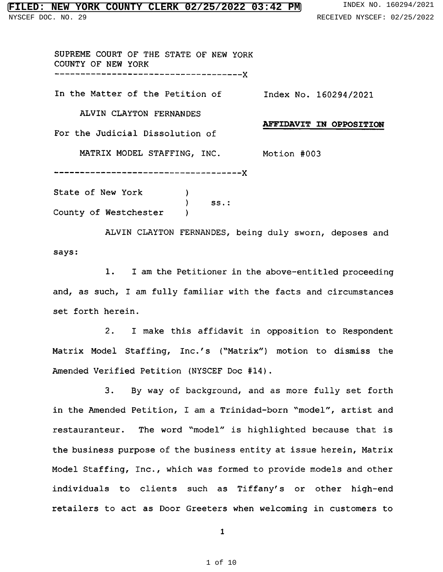## **NEW YORK COUNTY CLERK 02/25/2022 03:42 PM** INDEX NO. 160294/2021 NYSCEF DOC. NO. 29 RECEIVED NYSCEF: 02/25/2022

County of Westchester )

SUPREME COURT OF THE STATE OF NEW YORK COUNTY OF NEW YORK \_\_\_\_\_\_\_\_\_\_\_\_\_\_----------------------X In the Matter of the Petition of Index No. 160294/2021 ALVIN CLAYTON FERNANDES AFFIDAVIT IN OPPOSITION For the Judicial Dissolution of MATRIX MODEL STAFFING, INC. Motion #003 ------------------------------------X State of New York (1988) ) ss.:

ALVIN CLAYTON FERNANDES, being duly sworn, deposes and says:

1. <sup>I</sup> am the Petitioner in the above-entitled proceeding and, as such, <sup>I</sup> am fully familiar with the facts and circumstances set forth herein.

2. I make this affidavit in opposition to Respondent Matrix Model Staffing, Inc.'s ("Matrix") motion to dismiss the Amended Verified Petition (NYSCEF Doc #14).

3. By way of background, and as more fully set forth in the Amended Petition, I am a Trinidad-born "model", artist and restauranteur. The word "model" is highlighted because that is the business purpose of the business entity at issue herein, Matrix Model Staffing, Inc., which was formed to provide models and other individuals to clients such as Tiffany's or other high-end retailers to act as Door Greeters when welcoming in customers to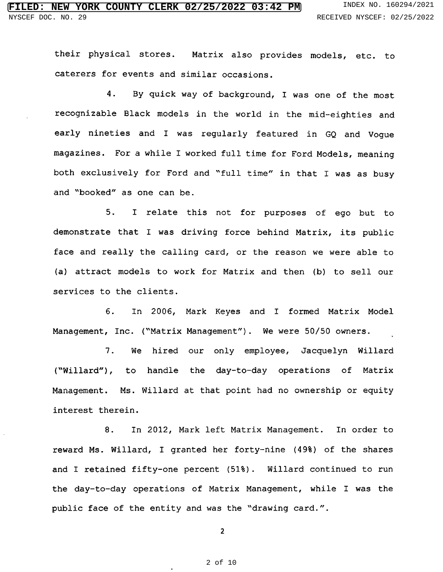their physical stores. Matrix also provides models, etc. to caterers for events and similar occasions.

4. By quick way of background, <sup>I</sup> was one of the most recognizable Black models in the world in the mid-eighties and early nineties and <sup>I</sup> was regularly featured in GQ and Vogue magazines. For <sup>a</sup> while <sup>I</sup> worked full time for Ford Models, meaning both exclusively for Ford and "full time" in that <sup>I</sup> was as busy and "booked" as one can be.

5. I relate this not for purposes of ego but to demonstrate that <sup>I</sup> was driving force behind Matrix, its public face and really the calling card, or the reason we were able to (a) attract models to work for Matrix and then (b) to sell our services to the clients.

6. In 2006, Mark Keyes and I formed Matrix Model Management, Inc. ("Matrix Management"). We were 50/50 owners.

7. We hired our only employee, Jacquelyn Willard ("Willard"), to handle the day-to-day operations of Matrix Management. Ms. Willard at that point had no ownership or equity interest therein.

8. In 2012, Mark left Matrix Management. In order to reward Ms. Willard, I granted her forty-nine (49%) of the shares and I retained fifty-one percent (51%). Willard continued to run the day-to-day operations of Matrix Management, while <sup>I</sup> was the public face of the entity and was the "drawing card.".

2

.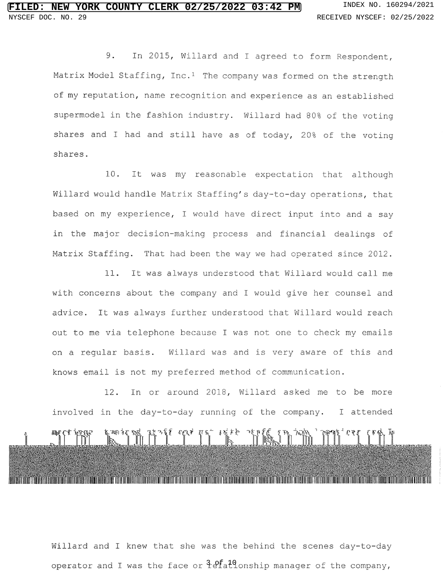9. In 2015, Willard and <sup>I</sup> agreed to form Respondent, Matrix Model Staffing,  $Inc.^1$  The company was formed on the strength of my reputation, name recognition and experience as an established supermodel in the fashion industry. Willard had 80% of the voting shares and <sup>I</sup> had and still have as of today, 20% of the voting shares.

10. It was my reasonable expectation that although Willard would handle Matrix Staffing's day-to-day operations, that based on my experience, <sup>I</sup> would have direct input into and <sup>a</sup> say in the major decision-making process and financial dealings of Matrix Staffing. That had been the way we had operated since 2012.

11. It was always understood that Willard would call me with concerns about the company and <sup>I</sup> would give her counsel and advice. It was always further understood that Willard would reach out to me via telephone because <sup>I</sup> was not one to check my emails on <sup>a</sup> regular basis. Willard was and is very aware of this and knows email is not my preferred method of communication.

12. In or around 2018, Willard asked me to be more involved in the day-to-day running of the company. <sup>I</sup> attended Fine Let's Hold The Title The Third The Title T 

Willard and <sup>I</sup> knew that she was the behind the scenes day-to-day operator and I was the face or  $\hat{t}$ e  $\hat{t}$  and  $\hat{t}$  and  $\hat{t}$  of the company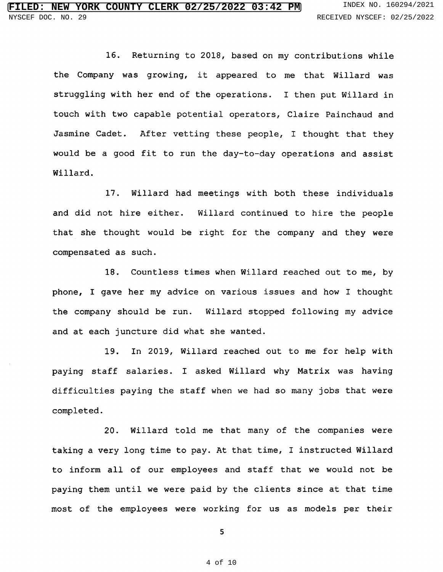16. Returning to 2018, based on my contributions while the Company was growing, it appeared to me that Willard was struggling with her end of the operations. <sup>I</sup> then put Willard in touch with two capable potential operators, Claire Painchaud and Jasmine Cadet. After vetting these people, <sup>I</sup> thought that they would be <sup>a</sup> good fit to run the day-to-day operations and assist Willard.

17. Willard had meetings with both these individuals and did not hire either. Willard continued to hire the people that she thought would be right for the company and they were compensated as such.

18. Countless times when Willard reached out to me, by phone, <sup>I</sup> gave her my advice on various issues and how <sup>I</sup> thought the company should be run. Willard stopped following my advice and at each juncture did what she wanted.

19. In 2019, Willard reached out to me for help with paying staff salaries. <sup>I</sup> asked Willard why Matrix was having difficulties paying the staff when we had so many jobs that were completed.

20. Willard told me that many of the companies were taking <sup>a</sup> very long time to pay. At that time, <sup>I</sup> instructed Willard to inform all of our employees and staff that we would not be paying them until we were paid by the clients since at that time most of the employees were working for us as models per their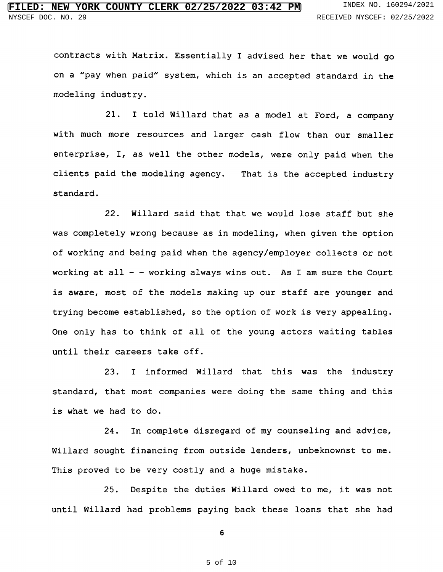contracts with Matrix. Essentially <sup>I</sup> advised her that we would go on a "pay when paid" system, which is an accepted standard in th modeling industry.

21. <sup>I</sup> told Willard that as <sup>a</sup> model at Ford, <sup>a</sup> company with much more resources and larger cash flow than our smaller enterprise, I, as well the other models, were only paid when the clients paid the modeling agency. That is the accepted industry standard.

22. Willard said that that we would lose staff but she was completely wrong because as in modeling, when given the option of working and being paid when the agency/employer collects or not working at all - - working always wins out. As I am sure the Co $\,$ is aware, most of the models making up our staff are younger and trying become established, so the option of work is very appealing. One only has to think of all of the young actors waiting tables until their careers take off.

23. <sup>I</sup> informed Willard that this was the industry standard, that most companies were doing the same thing and this is what we had to do.

24. In complete disregard of my counseling and advice, Willard sought financing from outside lenders, unbeknownst to me. This proved to be very costly and <sup>a</sup> huge mistake.

25. Despite the duties Willard owed to me, it was not until Willard had problems paying back these loans that she had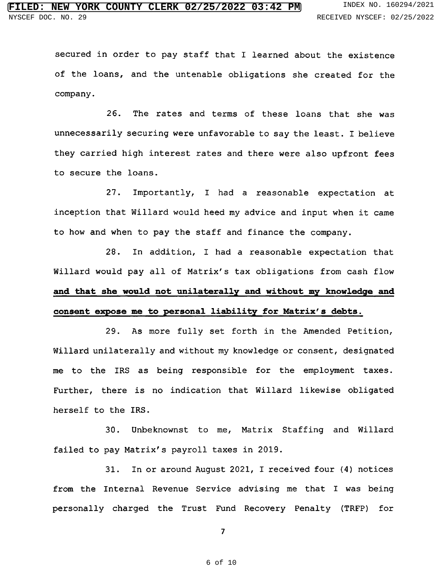secured in order to pay staff that <sup>I</sup> learned about the existence of the loans, and the untenable obligations she created for the company.

26. The rates and terms of these loans that she was unnecessarily securing were unfavorable to say the least. <sup>I</sup> believe they carried high interest rates and there were also upfront fees to secure the loans.

27. Importantly, I had a reasonable expectation at inception that Willard would heed my advice and input when it came to how and when to pay the staff and finance the company.

28. In addition, I had a reasonable expectation that Willard would pay all of Matrix's tax obligations from cash flow and that she would not unilaterally and without my knowledge and consent expose me to personal liability for Matrix's debts.

29. As more fully set forth in the Amended Petition, Willard unilaterally and without my knowledge or consent, designated me to the IRS as being responsible for the employment taxes. Further, there is no indication that Willard likewise obligated herself to the IRS.

30. Unbeknownst to me, Matrix Staffing and Willard failed to pay Matrix's payroll taxes in 2019.

31. In or around August 2021, I received four (4) notices from the Internal Revenue Service advising me that I was being personally charged the Trust Fund Recovery Penalty (TRFP) for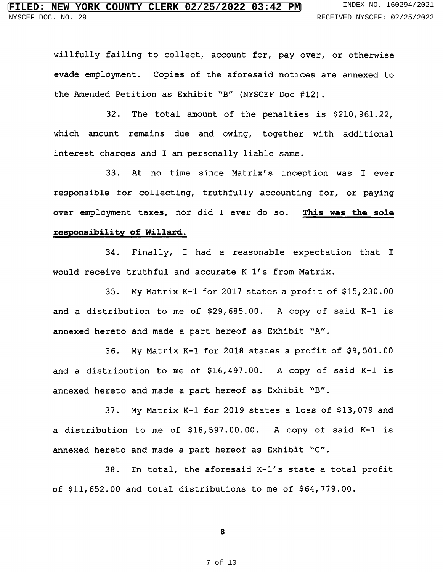willfully failing to collect, account for, pay over, or otherwise evade employment. Copies of the aforesaid notices are annexed to the Amended Petition as Exhibit "B" (NYSCEF Doc #12).

32. The total amount of the penalties is \$210,961.22, which amount remains due and owing, together with additional interest charges and <sup>I</sup> am personally liable same.

33. At no time since Matrix's inception was I ever responsible for collecting, truthfully accounting for, or paying over employment taxes, nor did I ever do so. This was the sole responsibility of Willard.

34. Finally, I had a reasonable expectation that I would receive truthful and accurate K-1's from Matrix.

35. My Matrix K-1 for <sup>2017</sup> states <sup>a</sup> profit of \$15,230.00 and <sup>a</sup> distribution to me of \$29,685.00. A copy of said K-1 is annexed hereto and made a part hereof as Exhibit "A".

36. My Matrix K-1 for <sup>2018</sup> states <sup>a</sup> profit of \$9,501.00 and <sup>a</sup> distribution to me of \$16,497.00. A copy of said K-1 is annexed hereto and made a part hereof as Exhibit "B".

37. My Matrix K-1 for <sup>2019</sup> states <sup>a</sup> loss of \$13,079 and <sup>a</sup> distribution to me of \$18,597.00.00. A copy of said K-1 is annexed hereto and made a part hereof as Exhibit "C".

38. In total, the aforesaid K-l's state a total profit of \$11,652.00 and total distributions to me of \$64,779.00.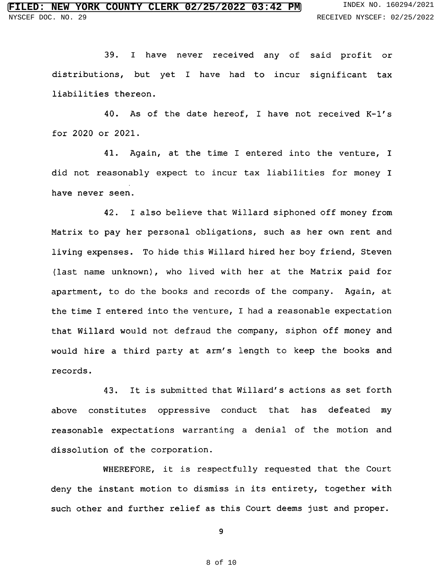39. <sup>I</sup> have never received any of said profit or distributions, but yet I have had to incur significant tax liabilities thereon.

40. As of the date hereof, I have not received K-1's for 2020 or 2021.

41. Again, at the time I entered into the venture, I did not reasonably expect to incur tax liabilities for money <sup>I</sup> have never seen.

42. <sup>I</sup> also believe that Willard siphoned off money from Matrix to pay her personal obligations, such as her own rent and living expenses. To hide this Willard hired her boy friend, Steven (last name unknown), who lived with her at the Matrix paid for apartment, to do the books and records of the company. Again, at the time I entered into the venture, I had a reasonable expectation that Willard would not defraud the company, siphon off money and would hire <sup>a</sup> third party at arm's length to keep the books and records.

43. It is submitted that Willard's actions as set forth above constitutes oppressive conduct that has defeated my reasonable expectations warranting <sup>a</sup> denial of the motion and dissolution of the corporation.

WHEREFORE, it is respectfully requested that the Court deny the instant motion to dismiss in its entirety, together with such other and further relief as this Court deems just and proper.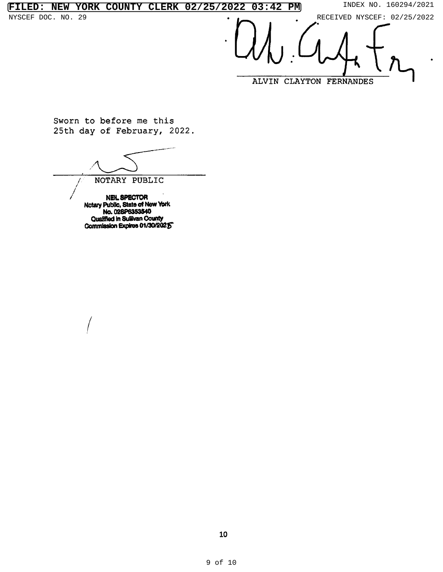**FILED: NEW YORK COUNTY CLERK 02/25/2022 03:42 PM** INDEX NO. 160294/2021

NYSCEF DOC. NO. 29 **PECEIVED** NYSCEF: 02/25/2022

ALVIN CLAYTON FERNANDES

Sworn to before me this 25th day of February, 2022.

NOTARY PUBLIC

NEIL SPECTOR Notary Public, State of N No. 028P6353 Qualified in Sullivan County Commission Expires 01/30/2025